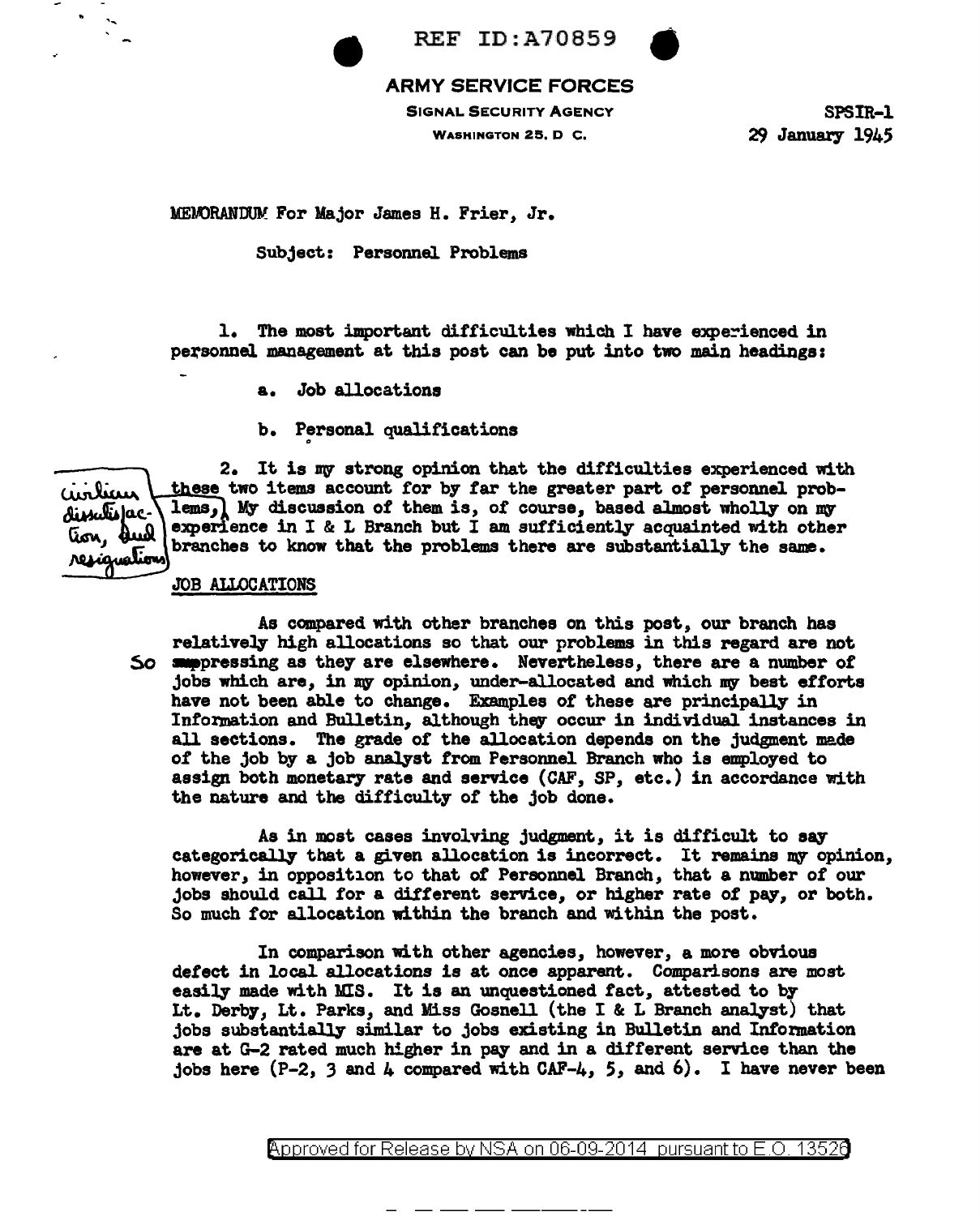

## ARMY SERVICE FORCES

SIGNAL SECURITY AGENCY

REF ID:A70859

WASHINGTON 25, D C.

SPSIR-1 29 January 1945

MEOORANDUV: For Major James H. Frier, Jr.

Subject: Personnel. Problems

1. The most important difficulties which I have experienced in personnel management at this post can be put into two main headings:

a. Job allocations

b. Personal qualifications

2. It is my strong opinion that the difficulties experienced with these two items account for by far the greater part of personnel probaintiau lems, My discussion of them is, of course, based almost wholly on my dissatisfacexperience in I & L Branch but I am sufficiently acquainted with other tion, dud branches to know that the problems there are substantially the same. resignation

## JOB ALLOCATIONS

As compared with other branches on this post, our branch has relatively high allocations so that our problems in this regard are not So suppressing as they are elsewhere. Nevertheless, there are a number of jobs which are, in my opinion, under-allocated and which my best efforts have not been able to change. Examples of these are principally in Information and Bulletin, although they occur in individual instances in all sections. The grade of the allocation depends on the judgment made of the job by a job analyst from Personnel Branch who is employed to assign both monetary rate and service (CAF, SP, etc.) in accordance with the nature and the difficulty of the job done.

As in most cases involving judgment, it is difficult to say categorically that a given allocation is incorrect. It remains my opinion, however, in opposition to that of' Personnel Branch, that a number *ot* our jobs should call for a dif'terent service, or higher rate of pay, or both. So much for allocation within the branch and within the post.

In comparison with other agencies, however, a more obvious detect in local allocations is at once apparent. Comparisons are most easily made with MIS. It is an unquestioned fact, attested to by Lt. Derby, Lt. Parks, and Miss Gosnell (the I & L Branch analyst) that jobs substantially similar to jobs existing in Bulletin and Information are at G-2 rated much higher in pay and in a different service than the jobs here  $(P-2, 3$  and  $\mu$  compared with CAF- $\mu$ , 5, and 6). I have never been

<code>Approved</code> for Release by NSA on 06-09-2014 <code>pursuant</code> to E.O. 1352 $\theta$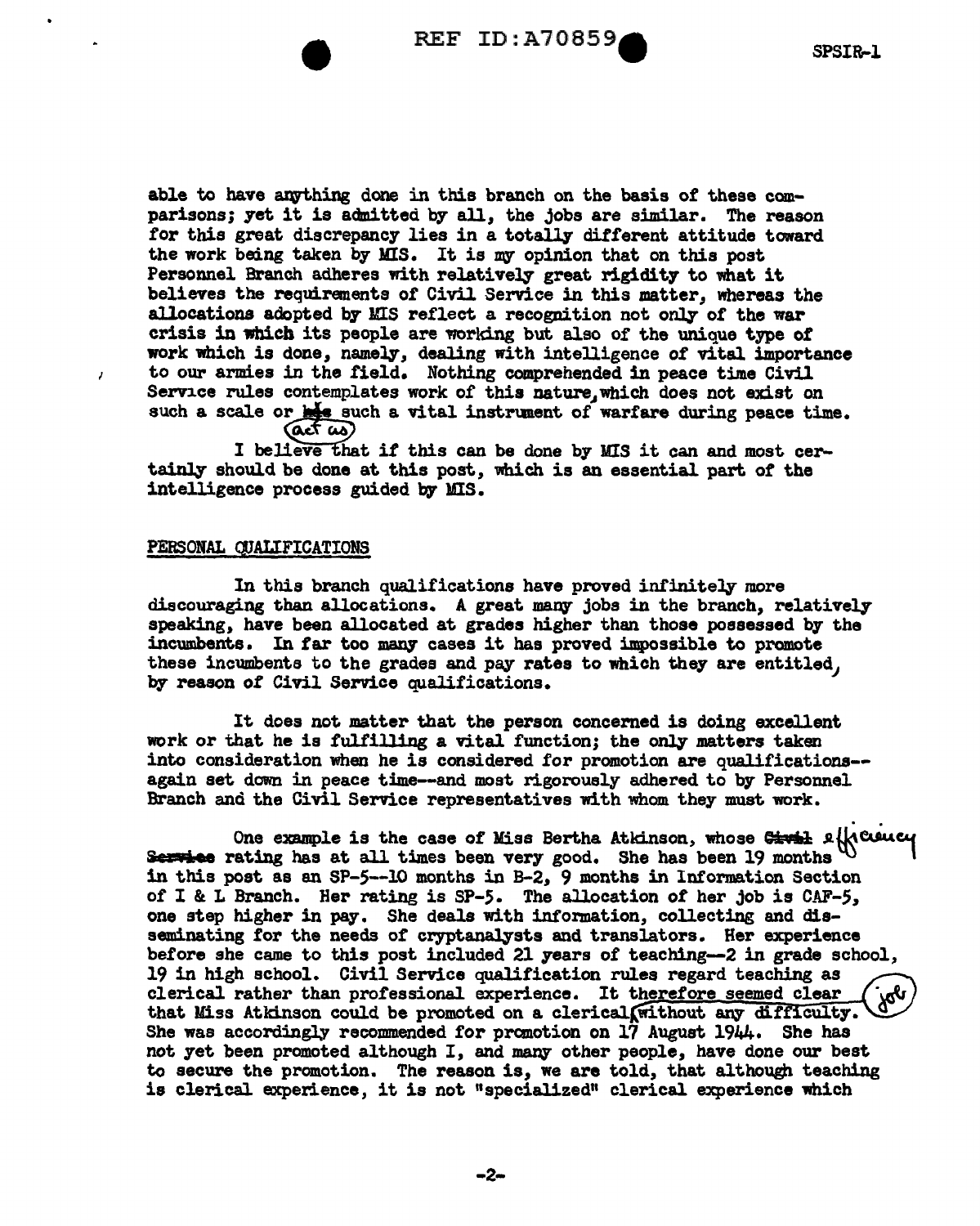able to have anything done in this branch on the basis of these comparisons; yet it is admitted by all, the jobs are similar. The reason for this great discrepancy lies in a totally different attitude toward the work being taken by MIS. It is my opinion that on this post Personnel Branch adheres with relatively great rigidity to what it believes the requirements or Civil Service in this matter, whereas the allocations adopted by MIS reflect a recognition not only of the war crisis in which its people are worldng but also of the unique type of work which is done, namely, dealing with intelligence of vital importance to our armies in the field. Nothing comprehended in peace time Civil Service rules contemplates work of this nature, which does not exist on such a scale or  $\frac{1}{n+2}$  such a vital instrument of warfare during peace time.

 $(4.4)$ 

I believe that if this can be done by MIS it can and most certainly should be done at this post, which is an essential part of the intelligence process guided by' MIS.

## PERSONAL CJJALIFICATIONS

 $\lambda$ 

In this branch qualifications have proved infinitely more discouraging than allocations. A great many jobs in the branch, relatively speaking, have been allocated at grades higher than those possessed by the incumbents. In far too many cases it has proved impossible to promote these incumbents to the grades and pay rates to which they are entitled, by reason of Civil Service qualifications.

It does not matter that the person concerned is doing excellent work or that he is fulfilling a vital function; the only matters taken into consideration when he is considered for promotion are qualifications- again set down in peace time--and most rigorously adhered to by Personnel<br>Branch and the Civil Service representatives with whom they must work.

Branch and the Civil Service representatives with whom they must work. . . One example is the case of Miss Bert.ha Atkinson, whose ~ Jl.t{s~C&f Service rating has at all times been very good. She has been 19 months  $\mathbb{U}$ **Service** rating has at all times been very good. She has been 19 months  $\mathcal{N}$  in this post as an SP-5--10 months in B-2, 9 months in Information Section of I & L Branch. Her rating is SP-5. The allocation of her job is CAF-5, one step higher in pay. She deals with information, collecting and disseminating for the needs of cryptanalysts and translators. Her experience before she came to this post included 21 years of teaching~2 in grade school, 19 in high school. Civil Service qualification rules regard teaching as clerical rather than professional experience. It therefore seemed clear that Miss Atkinson could be promoted on a clerical. Without any difficulty. She was accordingly recommended for promotion on 17 August 1944. She has not yet been promoted although I, and many other people, have done our best to secure the promotion. The reason is, we are told, that although teaching is clerical experience, it is not "specialized" clerical experience which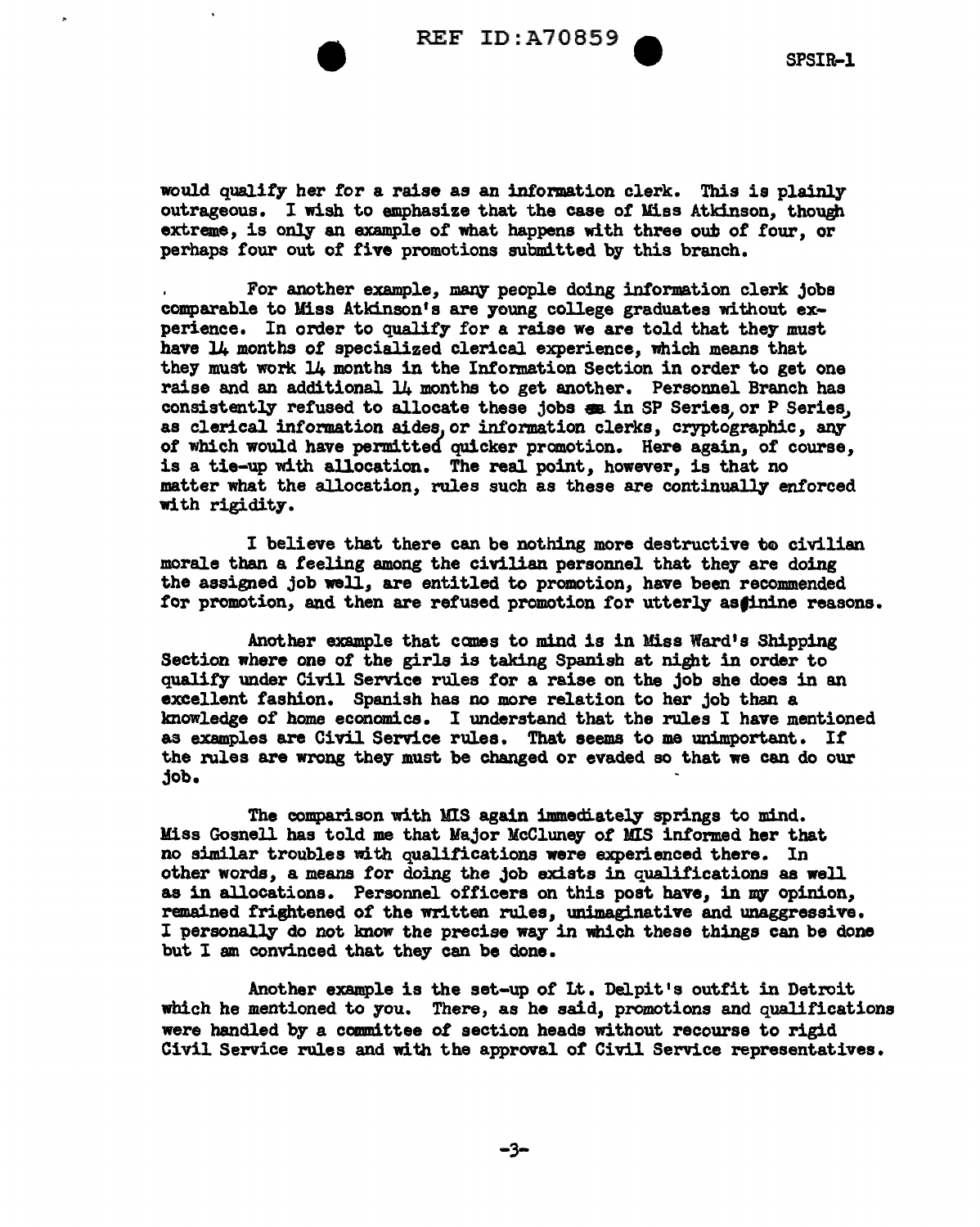

would quality her tor a raise as an information clerk. This is plainly outrageous. I wish to emphasize that the case or Miss Atkinson, though extreme, is only an example of what happens with three out of four, or perhaps four out of five promotions submitted by this branch.

For another example, many people doing information clerk jobs comparable to Miss Atkinson's are young college graduates without experience. In order to qualify for a raise we are told that they must have 14 months of specialized clerical experience, which means that they must work 14 months in the Information Section in order to get one raise and an additional 14 months to get another. Personnel Branch has consistently refused to allocate these jobs ex in SP Series, or P Series, as clerical information aides, or information clerks, cryptographic, any of which would have permitted' quicker promotion. Here again, of course, is a tie-up with allocation. The real point, however, is that no matter what the allocation, rules such as these are continually enforced with rigidity.

I believe that there can be nothing more destructive to civilian morale than a feeling among the civilian personnel that they are doing the assigned job well, are entitled to promotion, have been recommended for promotion, and then are refused promotion for utterly asfinine reasons.

Another example that canes to mind is in Miss Ward's Shipping Section where one *ot* the girls is taking Spanish at night in order to quality under Civil Service rules for a raise on the job she does in an excellent fashion. Spanish has no more relation to her job than a lmowledge of home economics. I understand that the rules I have mentioned as examples are Civil Service rules. That seems to me unimportant. If the rules are wrong they must be changed or evaded so that we can do our job.

The comparison with MIS again immediately springs to mind. Miss Gosnell has told me that Major McCluney of MIS informed her that no similar troubles with qualifications were experienced there. In other words, a means for doing the job exists in qualifications as well as in allocations. Personnel officers on this post have, in my opinion, remained frightened *ot* the written rules, unimaginative and unaggressive. I personally do not know the precise way in which these things can be done but I am convinced that they can be done.

Another example is the set-up of Lt. Delpit's outfit in Detroit which he mentioned to you. There, as he said, promotions and qualifications were handled by a canmittee of section heads without recourse to rigid Civil Service rules and with the approval of Civil Service representatives.